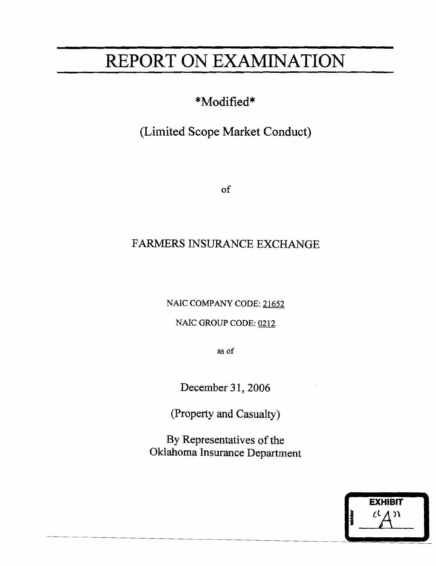# REPORT ON EXAMINATION

 $\overline{\phantom{a}}$ 

**EXHIBIT** 

 $\overline{\phantom{a}}$   $\overline{\phantom{a}}$   $\overline{\phantom{a}}$   $\overline{\phantom{a}}$ 

-

# \*Modified\*

# (Limited Scope Market Conduct)

of

### FARMERS INSURANCE EXCHANGE

NAIC COMPANY CODE: 21652

NAIC GROUP CODE: 0212

as of

December 31, 2006

(Property and Casualty)

By Representatives of the Oklahoma Insurance Department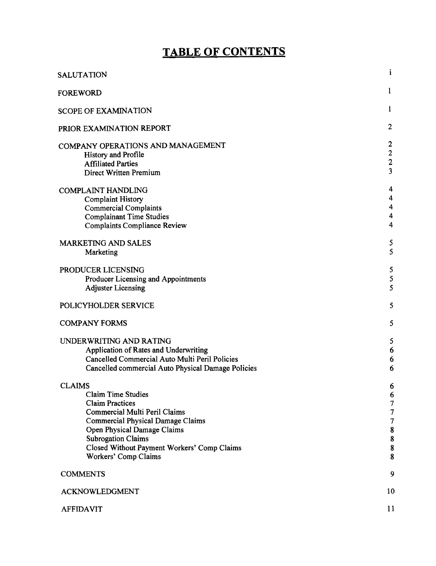## **TABLE OF CONTENTS**

| SALUTATION                                                                                                                                                                                                                                                                    | i.                                                                                                             |
|-------------------------------------------------------------------------------------------------------------------------------------------------------------------------------------------------------------------------------------------------------------------------------|----------------------------------------------------------------------------------------------------------------|
| <b>FOREWORD</b>                                                                                                                                                                                                                                                               | $\bf{l}$                                                                                                       |
| <b>SCOPE OF EXAMINATION</b>                                                                                                                                                                                                                                                   | $\mathbf{1}$                                                                                                   |
| PRIOR EXAMINATION REPORT                                                                                                                                                                                                                                                      | $\boldsymbol{2}$                                                                                               |
| COMPANY OPERATIONS AND MANAGEMENT<br><b>History and Profile</b><br><b>Affiliated Parties</b><br><b>Direct Written Premium</b>                                                                                                                                                 | $\boldsymbol{2}$<br>$\frac{2}{2}$<br>$\overline{\mathbf{3}}$                                                   |
| <b>COMPLAINT HANDLING</b><br><b>Complaint History</b><br><b>Commercial Complaints</b><br><b>Complainant Time Studies</b><br><b>Complaints Compliance Review</b>                                                                                                               | 4<br>4<br>4<br>$\overline{\mathbf{4}}$<br>$\overline{\mathbf{4}}$                                              |
| <b>MARKETING AND SALES</b><br>Marketing                                                                                                                                                                                                                                       | 5<br>5                                                                                                         |
| PRODUCER LICENSING<br>Producer Licensing and Appointments<br><b>Adjuster Licensing</b>                                                                                                                                                                                        | 5<br>5<br>5                                                                                                    |
| POLICYHOLDER SERVICE                                                                                                                                                                                                                                                          | 5                                                                                                              |
| <b>COMPANY FORMS</b>                                                                                                                                                                                                                                                          | 5                                                                                                              |
| UNDERWRITING AND RATING<br>Application of Rates and Underwriting<br>Cancelled Commercial Auto Multi Peril Policies<br>Cancelled commercial Auto Physical Damage Policies                                                                                                      | 5<br>6<br>6<br>6                                                                                               |
| <b>CLAIMS</b><br>Claim Time Studies<br><b>Claim Practices</b><br>Commercial Multi Peril Claims<br><b>Commercial Physical Damage Claims</b><br>Open Physical Damage Claims<br><b>Subrogation Claims</b><br>Closed Without Payment Workers' Comp Claims<br>Workers' Comp Claims | 6<br>6<br>$\boldsymbol{7}$<br>$\boldsymbol{7}$<br>$\boldsymbol{7}$<br>${\bf 8}$<br>$\pmb{8}$<br>$\pmb{8}$<br>8 |
| <b>COMMENTS</b>                                                                                                                                                                                                                                                               | 9                                                                                                              |
| ACKNOWLEDGMENT                                                                                                                                                                                                                                                                | 10                                                                                                             |
| <b>AFFIDAVIT</b>                                                                                                                                                                                                                                                              | 11                                                                                                             |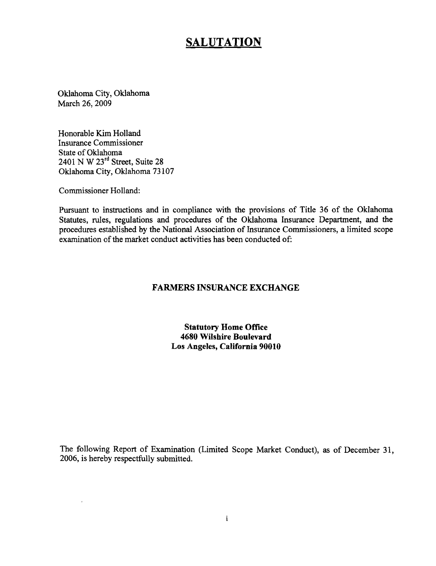### **SALUTATION**

Oklahoma City, Oklahoma March 26, 2009

Honorable Kim Holland Insurance Commissioner State of Oklahoma 2401 N W 23rd Street, Suite 28 Oklahoma City, Oklahoma 73107

Commissioner Holland:

Pursuant to instructions and in compliance with the provisions of Title 36 of the Oklahoma Statutes, rules, regulations and procedures of the Oklahoma Insurance Department, and the procedures established by the National Association of Insurance Commissioners, a limited scope examination of the market conduct activities has been conducted of:

#### **FARMERS INSURANCE EXCHANGE**

**Statutory Home Office 4680 Wilshire Boulevard Los Angeles, California 90010** 

The following Report of Examination (Limited Scope Market Conduct), as of December 31, 2006, is hereby respectfully submitted.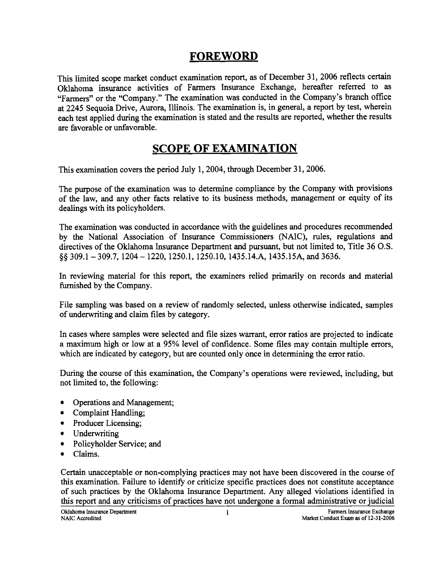### **FOREWORD**

This limited scope market conduct examination report, as of December 31, 2006 reflects certain Oklahoma insurance activities of Farmers Insurance Exchange, hereafter referred to as "Farmers" or the "Company." The examination was conducted in the Company's branch office at 2245 Sequoia Drive, Aurora, Illinois. The examination is, in general, a report by test, wherein each test applied during the examination is stated and the results are reported, whether the results are favorable or unfavorable.

### **SCOPE OF EXAMINATION**

This examination covers the period July 1, 2004, through December 31, 2006.

The purpose of the examination was to determine compliance by the Company with provisions of the law, and any other facts relative to its business methods, management or equity of its dealings with its policyholders.

The examination was conducted in accordance with the guidelines and procedures recommended by the National Association of Insurance Commissioners (NAIC), rules, regulations and directives of the Oklahoma Insurance Department and pursuant, but not limited to, Title 36 O.S. §§ 309.1 - 309.7, 1204 -1220, 1250.1, 1250.10, 1435.14.A, 1435.15A, and 3636.

In reviewing material for this report, the examiners relied primarily on records and material furnished by the Company.

File sampling was based on a review of randomly selected, unless otherwise indicated, samples of underwriting and claim files by category.

In cases where samples were selected and file sizes warrant, error ratios are projected to indicate a maximum high or low at a 95% level of confidence. Some files may contain multiple errors, which are indicated by category, but are counted only once in determining the error ratio.

During the course of this examination, the Company's operations were reviewed, including, but not limited to, the following:

- Operations and Management;
- Complaint Handling;
- Producer Licensing;
- Underwriting
- Policyholder Service; and
- Claims.

Certain unacceptable or non-complying practices may not have been discovered in the course of this examination. Failure to identify or criticize specific practices does not constitute acceptance of such practices by the Oklahoma Insurance Department. Any alleged violations identified in this report and any criticisms of practices have not undergone a formal administrative or judicial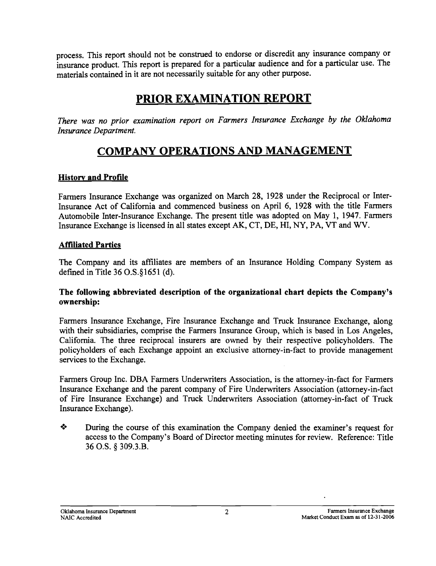process. This report should not be construed to endorse or discredit any insurance company or insurance product. This report is prepared for a particular audience and for a particular use. The materials contained in it are not necessarily suitable for any other purpose.

### **PRIOR EXAMINATION REPORT**

*There was no prior examination report on Farmers Insurance Exchange by the Oklahoma Insurance Department.* 

### **COMPANY OPERATIONS AND MANAGEMENT**

### **History and Profile**

Farmers Insurance Exchange was organized on March 28, 1928 under the Reciprocal or Inter-Insurance Act of California and commenced business on April 6, 1928 with the title Farmers Automobile Inter-Insurance Exchange. The present title was adopted on May 1, 1947. Farmers Insurance Exchange is licensed in all states except AK, CT, DE, HI, NY, PA, VT and WV.

#### **Affiliated Parties**

The Company and its affiliates are members of an Insurance Holding Company System as defined in Title 36 0.S.§1651 (d).

#### **The following abbreviated description of the organizational chart depicts the Company's ownership:**

Farmers Insurance Exchange, Fire Insurance Exchange and Truck Insurance Exchange, along with their subsidiaries, comprise the Farmers Insurance Group, which is based in Los Angeles, California. The three reciprocal insurers are owned by their respective policyholders. The policyholders of each Exchange appoint an exclusive attorney-in-fact to provide management services to the Exchange.

Farmers Group Inc. DBA Farmers Underwriters Association, is the attorney-in-fact for Farmers Insurance Exchange and the parent company of Fire Underwriters Association (attorney-in-fact of Fire Insurance Exchange) and Truck Underwriters Association (attorney-in-fact of Truck Insurance Exchange).

• During the course of this examination the Company denied the examiner's request for access to the Company's Board of Director meeting minutes for review. Reference: Title 36 O.S. § 309.3.B.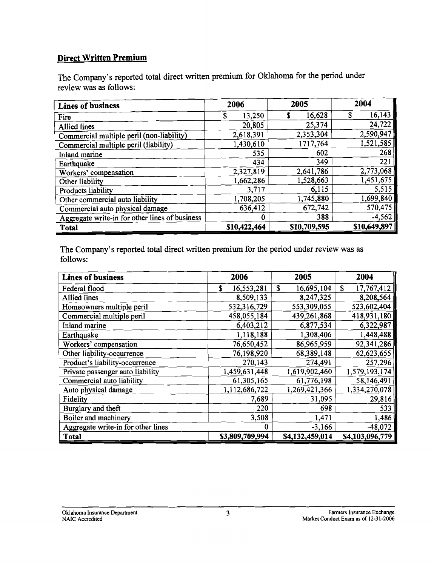### Direct Written Premium

The Company's reported total direct written premium for Oklahoma for the period under review was as follows:

| <b>Lines of business</b>                       | 2006         | 2005         | 2004         |
|------------------------------------------------|--------------|--------------|--------------|
| Fire                                           | 13,250       | 16,628<br>S  | 16,143<br>\$ |
| Allied lines                                   | 20,805       | 25,374       | 24,722       |
| Commercial multiple peril (non-liability)      | 2,618,391    | 2,353,304    | 2,590,947    |
| Commercial multiple peril (liability)          | 1,430,610    | 1717,764     | 1,521,585    |
| Inland marine                                  | 535          | 602          | 268          |
| Earthquake                                     | 434          | 349          | 221          |
| Workers' compensation                          | 2,327,819    | 2,641,786    | 2,773,068    |
| Other liability                                | 1,662,286    | 1,528,663    | 1,451,675    |
| Products liability                             | 3,717        | 6,115        | 5,515        |
| Other commercial auto liability                | 1,708,205    | 1,745,880    | 1,699,840    |
| Commercial auto physical damage                | 636,412      | 672,742      | 570,475      |
| Aggregate write-in for other lines of business | Ð            | 388          | $-4,562$     |
| <b>Total</b>                                   | \$10,422,464 | \$10,709,595 | \$10,649,897 |

The Company's reported total direct written premium for the period under review was as follows:

| <b>Lines of business</b>           | 2006            | 2005             | 2004            |
|------------------------------------|-----------------|------------------|-----------------|
| Federal flood                      | 16,553,281<br>S | \$<br>16,695,104 | S<br>17,767,412 |
| <b>Allied lines</b>                | 8,509,133       | 8,247,325        | 8,208,564       |
| Homeowners multiple peril          | 532,316,729     | 553,309,055      | 523,602,404     |
| Commercial multiple peril          | 458,055,184     | 439,261,868      | 418,931,180     |
| Inland marine                      | 6,403,212       | 6,877,534        | 6,322,987       |
| Earthquake                         | 1,118,188       | 1,308,406        | 1,448,488       |
| Workers' compensation              | 76,650,452      | 86,965,959       | 92,341,286      |
| Other liability-occurrence         | 76,198,920      | 68,389,148       | 62,623,655      |
| Product's liability-occurrence     | 270,143         | 274,491          | 257,296         |
| Private passenger auto liability   | 1,459,631,448   | 1,619,902,460    | 1,579,193,174   |
| Commercial auto liability          | 61,305,165      | 61,776,198       | 58,146,491      |
| Auto physical damage               | 1,112,686,722   | 1,269,421,366    | 1,334,270,078   |
| Fidelity                           | 7,689           | 31,095           | 29,816          |
| Burglary and theft                 | 220             | 698              | 533             |
| Boiler and machinery               | 3,508           | 1,471            | 1,486           |
| Aggregate write-in for other lines | 0               | $-3,166$         | $-48,072$       |
| <b>Total</b>                       | \$3,809,709,994 | \$4,132,459,014  | \$4,103,096,779 |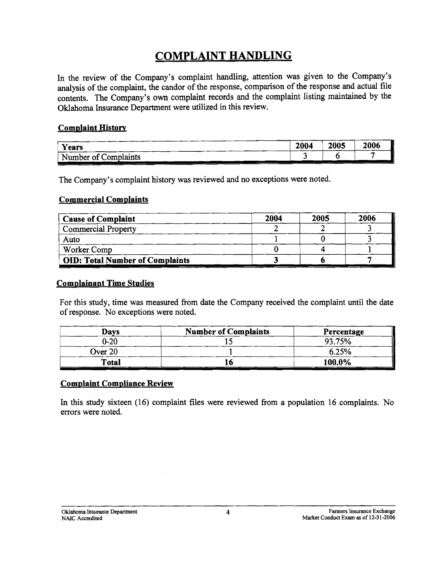### **COMPLAINT HANDLING**

In the review of the Company's complaint handling, attention was given to the Company's analysis of the complaint, the candor of the response, comparison of the response and actual file contents. The Company's own complaint records and the complaint listing maintained by the Oklahoma Insurance Department were utilized in this review.

#### Complaint History

| Years                     | 2004 | 2005 | 2006 |
|---------------------------|------|------|------|
| Number of C<br>Complaints |      |      |      |

The Company's complaint history was reviewed and no exceptions were noted.

#### Commercial Complaints

| <b>Cause of Complaint</b>              | 2004 | 2005 | 2006 |
|----------------------------------------|------|------|------|
| <b>Commercial Property</b>             |      |      |      |
| Auto                                   |      |      |      |
| Worker Comp                            |      |      |      |
| <b>OID: Total Number of Complaints</b> |      |      |      |

#### Complainant Time Studies

For this study, time was measured from date the Company received the complaint until the date of response. No exceptions were noted.

| Days         | <b>Number of Complaints</b> | Percentage |
|--------------|-----------------------------|------------|
| $0 - 20$     |                             | 93.75%     |
| Over 20      |                             | 6.25%      |
| <b>Total</b> | ιο                          | 100.0%     |

#### Complaint Compliance Review

In this study sixteen (16) complaint files were reviewed from a population 16 complaints. No errors were noted.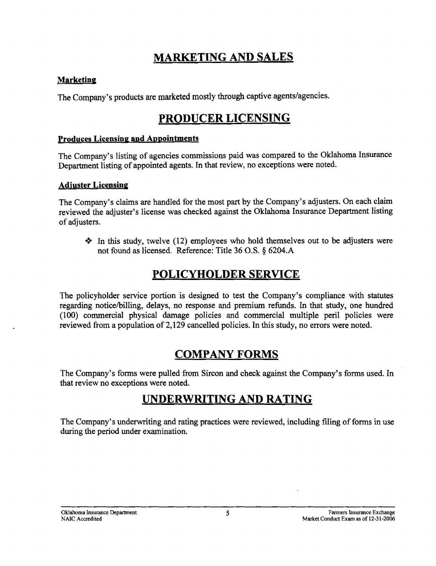### **MARKETING AND SALES**

### **Marketing**

The Company's products are marketed mostly through captive agents/agencies.

### **PRODUCER LICENSING**

#### **Produces Licensing and Appointments**

The Company's listing of agencies commissions paid was compared to the Oklahoma Insurance Department listing of appointed agents. In that review, no exceptions were noted.

#### **Adjuster Licensing**

The Company's claims are handled for the most part by the Company's adjusters. On each claim reviewed the adjuster's license was checked against the Oklahoma Insurance Department listing of adjusters.

• In this study, twelve (12) employees who hold themselves out to be adjusters were not found as licensed. Reference: Title 36 O.S. § 6204.A

### **POLICYHOLDER SERVICE**

The policyholder service portion is designed to test the Company's compliance with statutes regarding notice/billing, delays, no response and premium refunds. In that study, one hundred (100) commercial physical damage policies and commercial multiple peril policies were reviewed from a population of 2,129 cancelled policies. In this study, no errors were noted.

### **COMPANY FORMS**

The Company's forms were pulled from Sircon and check against the Company's forms used. In that review no exceptions were noted.

### **UNDERWRITING AND RATING**

The Company's underwriting and rating practices were reviewed, including filing of forms in use during the period under examination.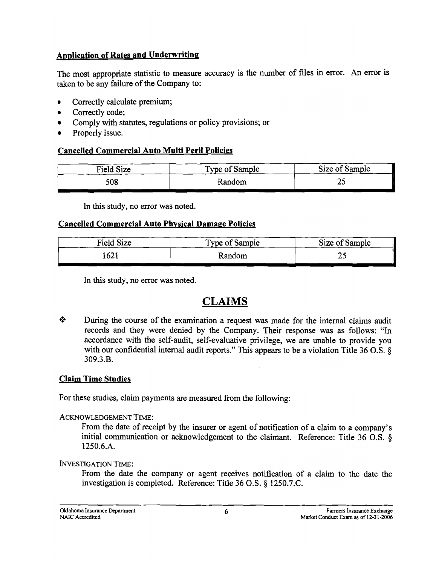### **Application of Rates and Underwriting**

The most appropriate statistic to measure accuracy is the number of files in error. An error is taken to be any failure of the Company to:

- Correctly calculate premium;
- Correctly code;
- Comply with statutes, regulations or policy provisions; or
- Properly issue.

### **Cancelled Commercial Auto Multi Peril Policies**

| <b>Field Size</b> | Type of Sample | Size of Sample |
|-------------------|----------------|----------------|
| 508               | Random         | , <u>,</u>     |

In this study, no error was noted.

### **Cancelled Commercial Auto Physical Damage Policies**

| Field Size | Type of Sample | Size of Sample |
|------------|----------------|----------------|
| 1621       | Random         |                |

In this study, no error was noted.

### **CLAIMS**

**Example 1** During the course of the examination a request was made for the internal claims audit records and they were denied by the Company. Their response was as follows: "In accordance with the self-audit, self-evaluative privilege, we are unable to provide you with our confidential internal audit reports." This appears to be a violation Title 36 O.S. § 309.3.B.

### **Claim Time Studies**

For these studies, claim payments are measured from the following:

#### ACKNOWLEDGEMENT TIME:

From the date of receipt by the insurer or agent of notification of a claim to a company's initial communication or acknowledgement to the claimant. Reference: Title 36 O.S. § 1250.6.A.

INVESTIGATION TIME:

From the date the company or agent receives notification of a claim to the date the investigation is completed. Reference: Title 36 O.S. § 1250.7.C.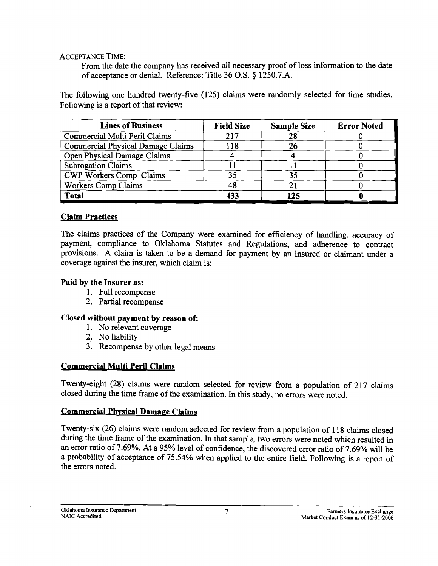ACCEPTANCE TIME:

From the date the company has received all necessary proof of loss infonnation to the date of acceptance or denial. Reference: Title 36 O.S. § 1250.7.A.

The following one hundred twenty-five (125) claims were randomly selected for time studies. Following is a report of that review:

| <b>Lines of Business</b>                 | <b>Field Size</b> | <b>Sample Size</b> | <b>Error Noted</b> |
|------------------------------------------|-------------------|--------------------|--------------------|
| Commercial Multi Peril Claims            | 217               | 28                 |                    |
| <b>Commercial Physical Damage Claims</b> | 118               |                    |                    |
| Open Physical Damage Claims              |                   |                    |                    |
| <b>Subrogation Claims</b>                |                   |                    |                    |
| CWP Workers Comp Claims                  | 35                |                    |                    |
| Workers Comp Claims                      | 48                |                    |                    |
| <b>Total</b>                             | 433               | 125                |                    |

### Claim Practices

The claims practices of the Company were examined for efficiency of handling, accuracy of payment, compliance to Oklahoma Statutes and Regulations, and adherence to contract provisions. A claim is taken to be a demand for payment by an insured or claimant under a coverage against the insurer, which claim is:

### Paid by the Insurer as:

- 1. Full recompense
- 2. Partial recompense

### Closed without payment by reason of:

- 1. No relevant coverage
- 2. No liability
- 3. Recompense by other legal means

### Commercial Multi Peril Claims

Twenty-eight (28) claims were random selected for review from a population of 217 claims closed during the time frame of the examination. In this study, no errors were noted.

### Commercial Phvsical Damage Claims

Twenty-six (26) claims were random selected for review from a population of 118 claims closed during the time frame of the examination. In that sample, two errors were noted which resulted in an error ratio of 7.69%. At a 95% level of confidence, the discovered error ratio of 7.69% will be a probability of acceptance of 75.54% when applied to the entire field. Following is a report of the errors noted.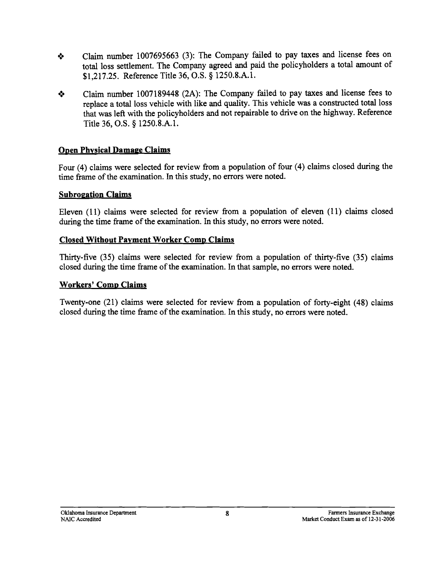- **.:.** Claim number 1007695663 (3): The Company failed to pay taxes and license fees on total loss settlement. The Company agreed and paid the policyholders a total amount of \$1,217.25. Reference Title 36, O.S. § 1250.8.A.l.
- **.:.** Claim number 1007189448 (2A): The Company failed to pay taxes and license fees to replace a total loss vehicle with like and quality. This vehicle was a constructed total loss that was left with the policyholders and not repairable to drive on the highway. Reference Title 36, O.S. § 1250.8.A.l.

### **Open Physical Damage Claims**

Four (4) claims were selected for review from a population of four (4) claims closed during the time frame of the examination. In this study, no errors were noted.

### **Subrogation Claims**

Eleven (11) claims were selected for review from a population of eleven (11) claims closed during the time frame of the examination. In this study, no errors were noted.

### **Closed Without Payment Worker Comp Claims**

Thirty-five (35) claims were selected for review from a population of thirty-five (35) claims closed during the time frame of the examination. In that sample, no errors were noted.

#### **Workers' Comp Claims**

Twenty-one (21) claims were selected for review from a population of forty-eight (48) claims closed during the time frame of the examination. In this study, no errors were noted.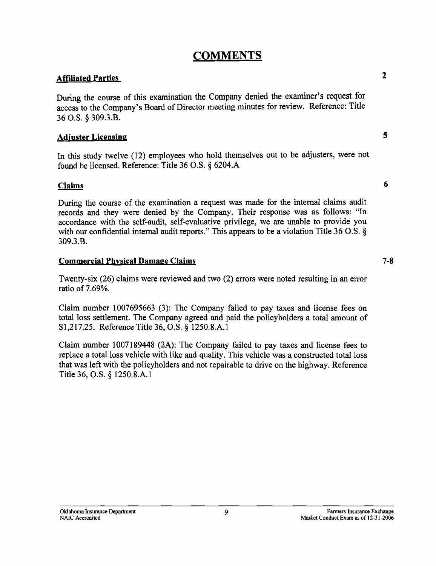### **COMMENTS**

### **Affiliated Parties** 2

During the course of this examination the Company denied the examiner's request for access to the Company's Board of Director meeting minutes for review. Reference: Title 36 O.S. § 309.3.B.

### **Adjuster Licensing** 5

In this study twelve (12) employees who hold themselves out to be adjusters, were not found be licensed. Reference: Title 36 O.S.  $\S$  6204.A

### **Claims** 6

During the course of the examination a request was made for the internal claims audit records and they were denied by the Company. Their response was as follows: "In accordance with the self-audit, self-evaluative privilege, we are unable to provide you with our confidential internal audit reports." This appears to be a violation Title 36 O.S.  $\S$ 309.3.B.

#### **Commercial Physical Damage Claims 7-8**

Twenty-six (26) claims were reviewed and two (2) errors were noted resulting in an error ratio of 7.69%.

Claim number 1007695663 (3): The Company failed to pay taxes and license fees on total loss settlement. The Company agreed and paid the policyholders a total amount of  $$1,217.25.$  Reference Title 36, O.S. § 1250.8.A.1

Claim number 1007189448 (2A): The Company failed to pay taxes and license fees to replace a total loss vehicle with like and quality. This vehicle was a constructed total loss that was left with the policyholders and not repairable to drive on the highway. Reference Title 36, O.S. § 1250.8.A.1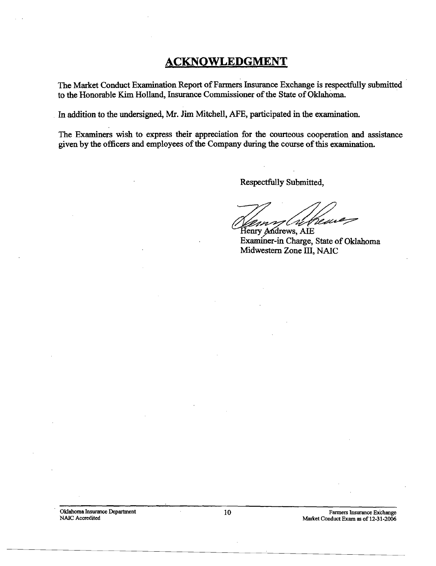### **ACKNOWLEDGMENT**

The Market Conduct Examination Report of Farmers Insurance Exchange is respectfully submitted to the Honorable Kim Holland, Insurance Commissioner of the State of Oklahoma.

. In addition to the undersigned, Mr. Jim Mitchell, AFE, participated in the examination.

The Examiners wish to express their appreciation for the courteous cooperation and assistance given by the officers and employees of the Company during the course of this examination.

Respectfully Submitted,

months comments,

Examiner-in Charge, State of Oklahoma Midwestern Zone III, NAIC